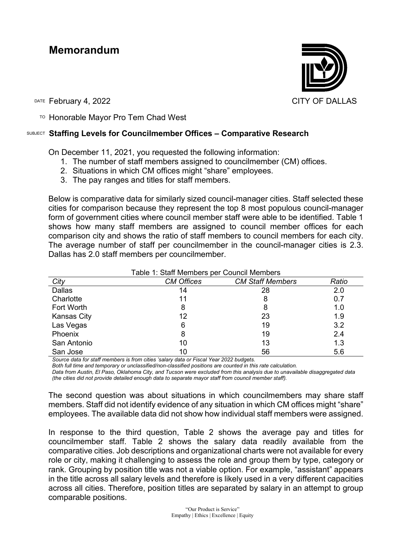## **Memorandum**



DATE February 4, 2022 **CITY OF DALLAS** 

TO Honorable Mayor Pro Tem Chad West

## SUBJECT **Staffing Levels for Councilmember Offices – Comparative Research**

On December 11, 2021, you requested the following information:

- 1. The number of staff members assigned to councilmember (CM) offices.
- 2. Situations in which CM offices might "share" employees.
- 3. The pay ranges and titles for staff members.

Below is comparative data for similarly sized council-manager cities. Staff selected these cities for comparison because they represent the top 8 most populous council-manager form of government cities where council member staff were able to be identified. Table 1 shows how many staff members are assigned to council member offices for each comparison city and shows the ratio of staff members to council members for each city. The average number of staff per councilmember in the council-manager cities is 2.3. Dallas has 2.0 staff members per councilmember.

| City               | <b>CM Offices</b> | <b>CM Staff Members</b> | Ratio |
|--------------------|-------------------|-------------------------|-------|
| Dallas             | 14                | 28                      | 2.0   |
| Charlotte          | 11                | 8                       | 0.7   |
| Fort Worth         | 8                 | 8                       | 1.0   |
| <b>Kansas City</b> | 12                | 23                      | 1.9   |
| Las Vegas          | 6                 | 19                      | 3.2   |
| Phoenix            | 8                 | 19                      | 2.4   |
| San Antonio        | 10                | 13                      | 1.3   |
| San Jose           | 10                | 56                      | 5.6   |

Table 1: Staff Members per Council Members

*Source data for staff members is from cities 'salary data or Fiscal Year 2022 budgets.*

*Both full time and temporary or unclassified/non-classified positions are counted in this rate calculation.*

*Data from Austin, El Paso, Oklahoma City, and Tucson were excluded from this analysis due to unavailable disaggregated data (the cities did not provide detailed enough data to separate mayor staff from council member staff).*

The second question was about situations in which councilmembers may share staff members. Staff did not identify evidence of any situation in which CM offices might "share" employees. The available data did not show how individual staff members were assigned.

In response to the third question, Table 2 shows the average pay and titles for councilmember staff. Table 2 shows the salary data readily available from the comparative cities. Job descriptions and organizational charts were not available for every role or city, making it challenging to assess the role and group them by type, category or rank. Grouping by position title was not a viable option. For example, "assistant" appears in the title across all salary levels and therefore is likely used in a very different capacities across all cities. Therefore, position titles are separated by salary in an attempt to group comparable positions.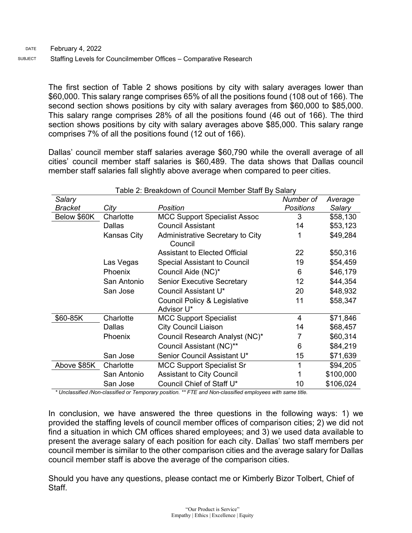The first section of Table 2 shows positions by city with salary averages lower than \$60,000. This salary range comprises 65% of all the positions found (108 out of 166). The second section shows positions by city with salary averages from \$60,000 to \$85,000. This salary range comprises 28% of all the positions found (46 out of 166). The third section shows positions by city with salary averages above \$85,000. This salary range comprises 7% of all the positions found (12 out of 166).

Dallas' council member staff salaries average \$60,790 while the overall average of all cities' council member staff salaries is \$60,489. The data shows that Dallas council member staff salaries fall slightly above average when compared to peer cities.

| Salary         |               |                                                       | Number of        | Average   |
|----------------|---------------|-------------------------------------------------------|------------------|-----------|
| <b>Bracket</b> | City          | Position                                              | <b>Positions</b> | Salary    |
| Below \$60K    | Charlotte     | <b>MCC Support Specialist Assoc</b>                   | 3                | \$58,130  |
|                | <b>Dallas</b> | <b>Council Assistant</b>                              | 14               | \$53,123  |
|                | Kansas City   | Administrative Secretary to City<br>Council           |                  | \$49,284  |
|                |               | Assistant to Elected Official                         | 22               | \$50,316  |
|                | Las Vegas     | <b>Special Assistant to Council</b>                   | 19               | \$54,459  |
|                | Phoenix       | Council Aide (NC)*                                    | 6                | \$46,179  |
|                | San Antonio   | <b>Senior Executive Secretary</b>                     | 12               | \$44,354  |
|                | San Jose      | Council Assistant U*                                  | 20               | \$48,932  |
|                |               | <b>Council Policy &amp; Legislative</b><br>Advisor U* | 11               | \$58,347  |
| \$60-85K       | Charlotte     | <b>MCC Support Specialist</b>                         | 4                | \$71,846  |
|                | Dallas        | <b>City Council Liaison</b>                           | 14               | \$68,457  |
|                | Phoenix       | Council Research Analyst (NC)*                        |                  | \$60,314  |
|                |               | Council Assistant (NC)**                              | 6                | \$84,219  |
|                | San Jose      | Senior Council Assistant U*                           | 15               | \$71,639  |
| Above \$85K    | Charlotte     | <b>MCC Support Specialist Sr</b>                      |                  | \$94,205  |
|                | San Antonio   | <b>Assistant to City Council</b>                      |                  | \$100,000 |
|                | San Jose      | Council Chief of Staff U*                             | 10               | \$106,024 |

## Table 2: Breakdown of Council Member Staff By Salary

*\* Unclassified /Non-classified or Temporary position. \*\* FTE and Non-classified employees with same title.*

In conclusion, we have answered the three questions in the following ways: 1) we provided the staffing levels of council member offices of comparison cities; 2) we did not find a situation in which CM offices shared employees; and 3) we used data available to present the average salary of each position for each city. Dallas' two staff members per council member is similar to the other comparison cities and the average salary for Dallas council member staff is above the average of the comparison cities.

Should you have any questions, please contact me or Kimberly Bizor Tolbert, Chief of Staff.